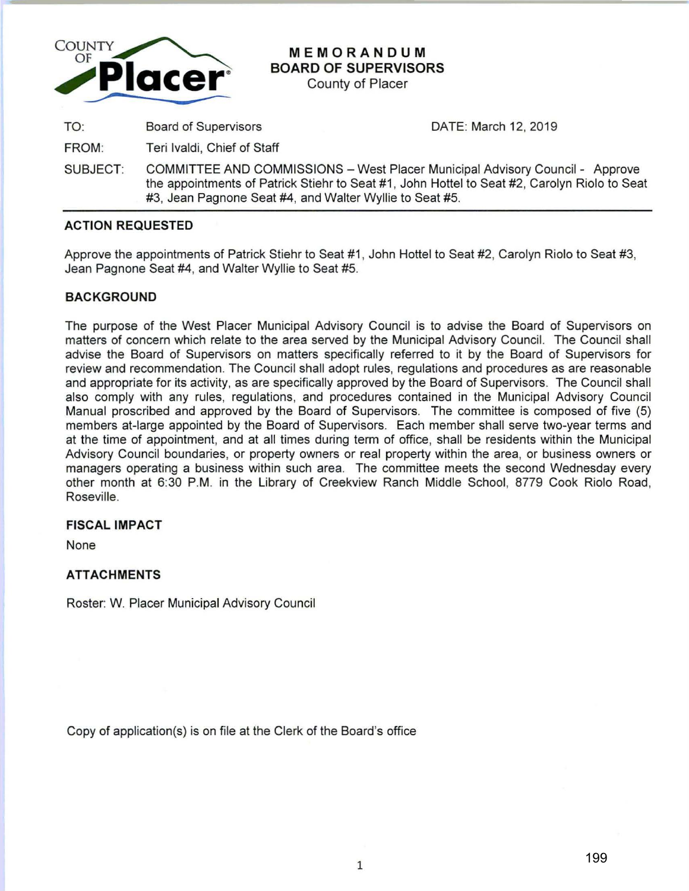

# **MEMORANDUM BOARD OF SUPERVISORS**

County of Placer

TO: Board of Supervisors

DATE: March 12, 2019

FROM: Teri lvaldi, Chief of Staff

SUBJECT: COMMITTEE AND COMMISSIONS - West Placer Municipal Advisory Council - Approve the appointments of Patrick Stiehr to Seat #1 , John Hottel to Seat #2, Carolyn Riolo to Seat #3, Jean Pagnone Seat #4, and Walter Wyllie to Seat #5.

## **ACTION REQUESTED**

Approve the appointments of Patrick Stiehr to Seat #1, John Hottel to Seat #2, Carolyn Riolo to Seat #3, Jean Pagnone Seat #4, and Walter Wyllie to Seat #5.

## **BACKGROUND**

The purpose of the West Placer Municipal Advisory Council is to advise the Board of Supervisors on matters of concern which relate to the area served by the Municipal Advisory Council. The Council shall advise the Board of Supervisors on matters specifically referred to it by the Board of Supervisors for review and recommendation. The Council shall adopt rules, regulations and procedures as are reasonable and appropriate for its activity, as are specifically approved by the Board of Supervisors. The Council shall also comply with any rules, regulations, and procedures contained in the Municipal Advisory Council Manual proscribed and approved by the Board of Supervisors. The committee is composed of five (5) members at-large appointed by the Board of Supervisors. Each member shall serve two-year terms and at the time of appointment, and at all times during term of office, shall be residents within the Municipal Advisory Council boundaries, or property owners or real property within the area, or business owners or managers operating a business within such area. The committee meets the second Wednesday every other month at 6:30 P.M. in the Library of Creekview Ranch Middle School, 8779 Cook Riolo Road, Roseville.

### **FISCAL IMPACT**

None

## **ATTACHMENTS**

Roster: W. Placer Municipal Advisory Council

Copy of application(s) is on file at the Clerk of the Board's office